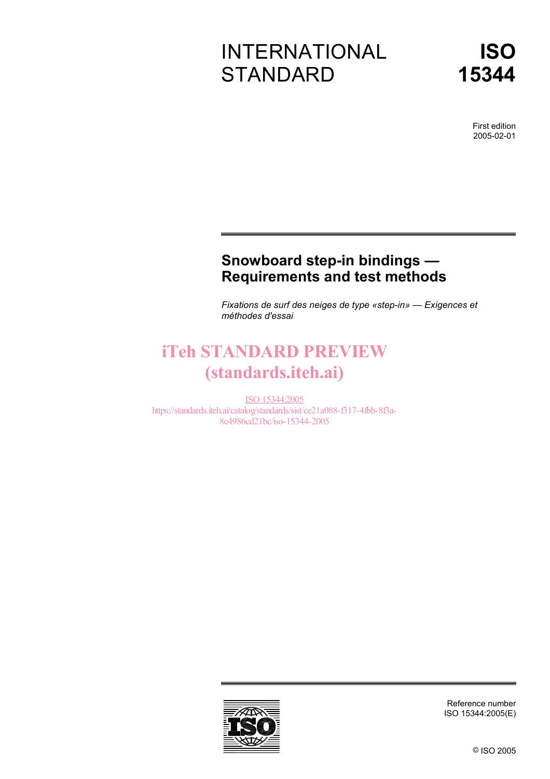# INTERNATIONAL **STANDARD**



First edition 2005-02-01

### **Snowboard step-in bindings — Requirements and test methods**

*Fixations de surf des neiges de type «step-in» — Exigences et méthodes d'essai* 

# iTeh STANDARD PREVIEW (standards.iteh.ai)

ISO 15344:2005 https://standards.iteh.ai/catalog/standards/sist/ce21a088-f317-4fbb-8f3a-8c4986cd21bc/iso-15344-2005



Reference number ISO 15344:2005(E)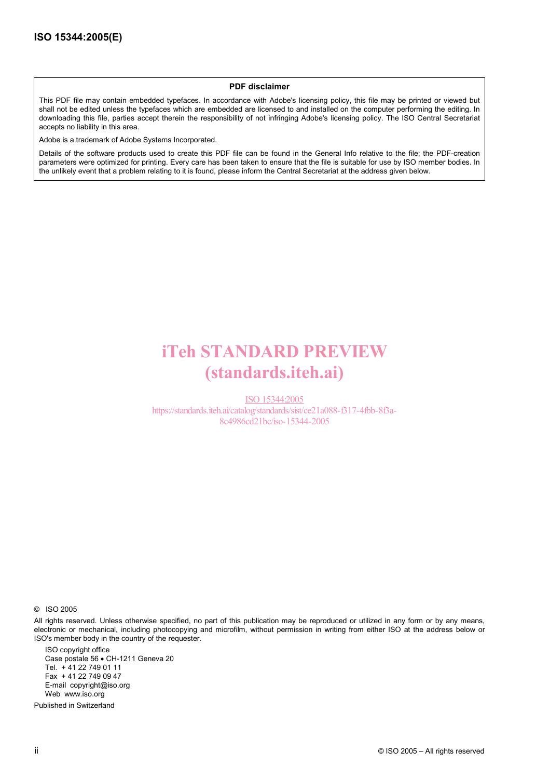#### **PDF disclaimer**

This PDF file may contain embedded typefaces. In accordance with Adobe's licensing policy, this file may be printed or viewed but shall not be edited unless the typefaces which are embedded are licensed to and installed on the computer performing the editing. In downloading this file, parties accept therein the responsibility of not infringing Adobe's licensing policy. The ISO Central Secretariat accepts no liability in this area.

Adobe is a trademark of Adobe Systems Incorporated.

Details of the software products used to create this PDF file can be found in the General Info relative to the file; the PDF-creation parameters were optimized for printing. Every care has been taken to ensure that the file is suitable for use by ISO member bodies. In the unlikely event that a problem relating to it is found, please inform the Central Secretariat at the address given below.

# iTeh STANDARD PREVIEW (standards.iteh.ai)

ISO 15344:2005 https://standards.iteh.ai/catalog/standards/sist/ce21a088-f317-4fbb-8f3a-8c4986cd21bc/iso-15344-2005

© ISO 2005

All rights reserved. Unless otherwise specified, no part of this publication may be reproduced or utilized in any form or by any means, electronic or mechanical, including photocopying and microfilm, without permission in writing from either ISO at the address below or ISO's member body in the country of the requester.

ISO copyright office Case postale 56 • CH-1211 Geneva 20 Tel. + 41 22 749 01 11 Fax + 41 22 749 09 47 E-mail copyright@iso.org Web www.iso.org

Published in Switzerland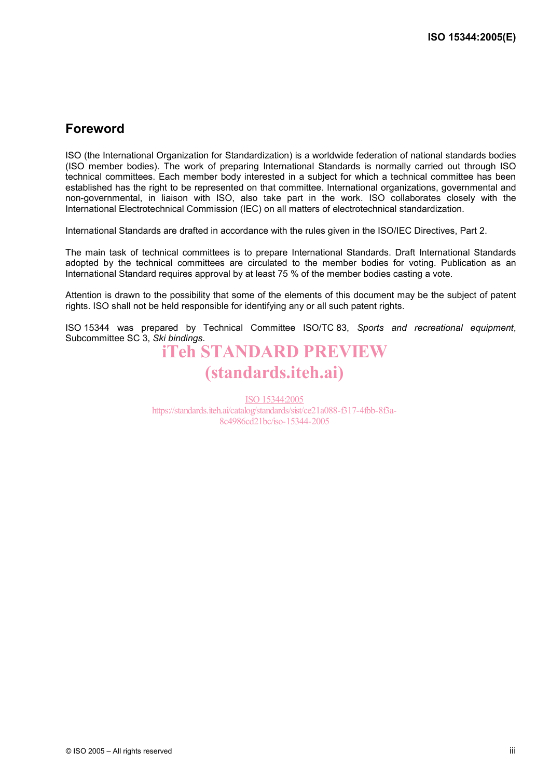### **Foreword**

ISO (the International Organization for Standardization) is a worldwide federation of national standards bodies (ISO member bodies). The work of preparing International Standards is normally carried out through ISO technical committees. Each member body interested in a subject for which a technical committee has been established has the right to be represented on that committee. International organizations, governmental and non-governmental, in liaison with ISO, also take part in the work. ISO collaborates closely with the International Electrotechnical Commission (IEC) on all matters of electrotechnical standardization.

International Standards are drafted in accordance with the rules given in the ISO/IEC Directives, Part 2.

The main task of technical committees is to prepare International Standards. Draft International Standards adopted by the technical committees are circulated to the member bodies for voting. Publication as an International Standard requires approval by at least 75 % of the member bodies casting a vote.

Attention is drawn to the possibility that some of the elements of this document may be the subject of patent rights. ISO shall not be held responsible for identifying any or all such patent rights.

ISO 15344 was prepared by Technical Committee ISO/TC 83, *Sports and recreational equipment*, Subcommittee SC 3, *Ski bindings*.

### iTeh STANDARD PREVIEW (standards.iteh.ai)

ISO 15344:2005 https://standards.iteh.ai/catalog/standards/sist/ce21a088-f317-4fbb-8f3a-8c4986cd21bc/iso-15344-2005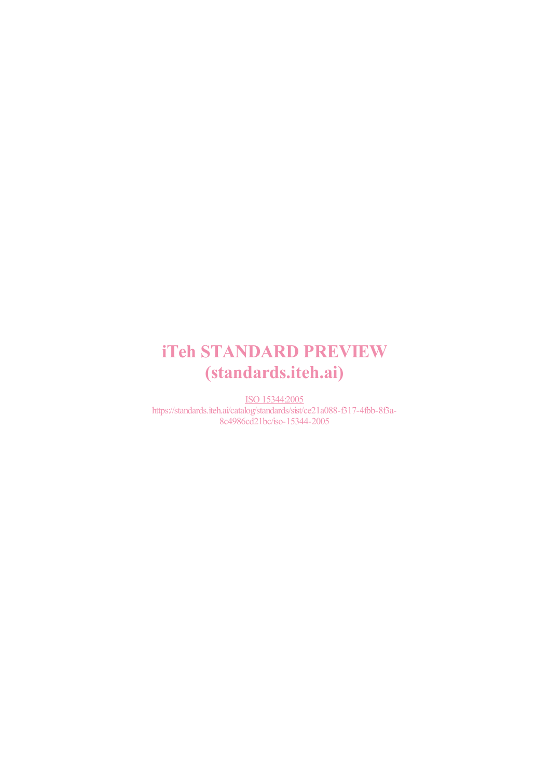# iTeh STANDARD PREVIEW (standards.iteh.ai)

ISO 15344:2005 https://standards.iteh.ai/catalog/standards/sist/ce21a088-f317-4fbb-8f3a-8c4986cd21bc/iso-15344-2005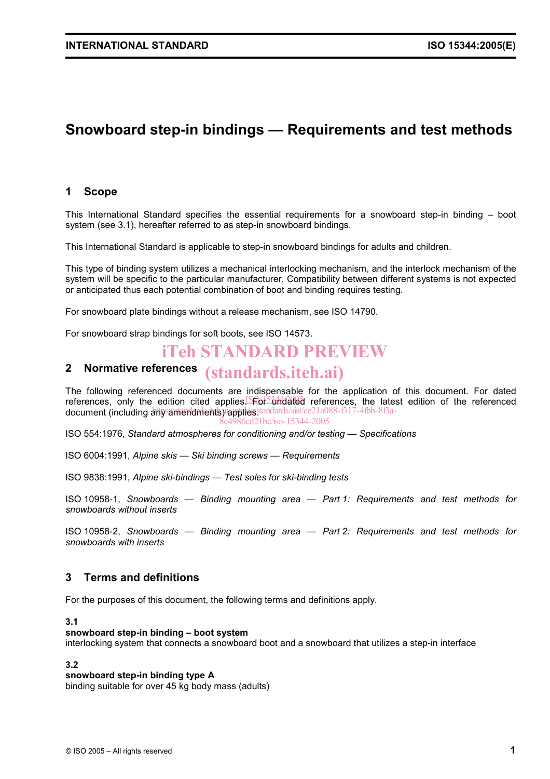### **Snowboard step-in bindings — Requirements and test methods**

#### **1 Scope**

This International Standard specifies the essential requirements for a snowboard step-in binding – boot system (see 3.1), hereafter referred to as step-in snowboard bindings.

This International Standard is applicable to step-in snowboard bindings for adults and children.

This type of binding system utilizes a mechanical interlocking mechanism, and the interlock mechanism of the system will be specific to the particular manufacturer. Compatibility between different systems is not expected or anticipated thus each potential combination of boot and binding requires testing.

For snowboard plate bindings without a release mechanism, see ISO 14790.

For snowboard strap bindings for soft boots, see ISO 14573.

### iTeh STANDARD PREVIEW

# **2 Normative references**  (standards.iteh.ai)

The following referenced documents are indispensable for the application of this document. For dated references, only the edition cited applies.<sup>[SE</sup>DF<sup>53</sup>undated references, the latest edition of the referenced document (including any amendments) applies/standards/sist/ce21a088-f317-4fbb-8f3a-8c4986cd21bc/iso-15344-2005

ISO 554:1976, *Standard atmospheres for conditioning and/or testing — Specifications*

ISO 6004:1991, *Alpine skis — Ski binding screws — Requirements*

ISO 9838:1991, *Alpine ski-bindings — Test soles for ski-binding tests*

ISO 10958-1, *Snowboards — Binding mounting area — Part 1: Requirements and test methods for snowboards without inserts*

ISO 10958-2, *Snowboards — Binding mounting area — Part 2: Requirements and test methods for snowboards with inserts*

#### **3 Terms and definitions**

For the purposes of this document, the following terms and definitions apply.

#### **3.1**

#### **snowboard step-in binding – boot system**

interlocking system that connects a snowboard boot and a snowboard that utilizes a step-in interface

#### **3.2**

#### **snowboard step-in binding type A**

binding suitable for over 45 kg body mass (adults)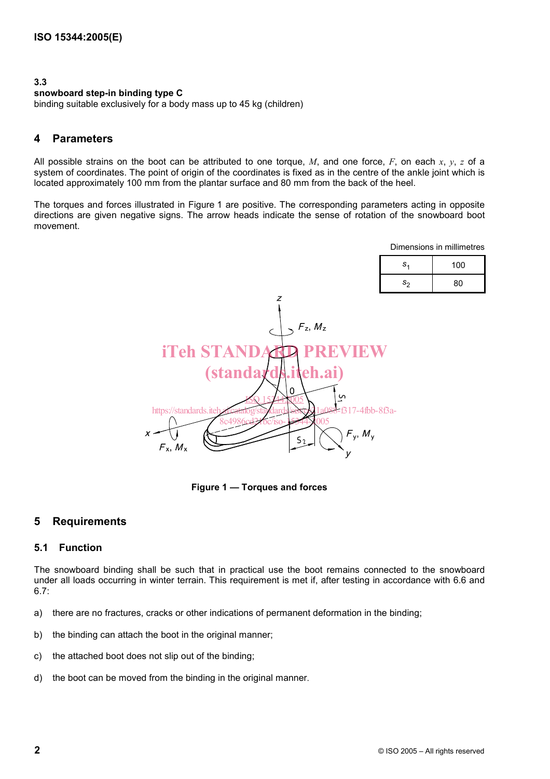#### **3.3**

#### **snowboard step-in binding type C**

binding suitable exclusively for a body mass up to 45 kg (children)

#### **4 Parameters**

All possible strains on the boot can be attributed to one torque, *M*, and one force, *F*, on each *x*, *y*, *z* of a system of coordinates. The point of origin of the coordinates is fixed as in the centre of the ankle joint which is located approximately 100 mm from the plantar surface and 80 mm from the back of the heel.

The torques and forces illustrated in Figure 1 are positive. The corresponding parameters acting in opposite directions are given negative signs. The arrow heads indicate the sense of rotation of the snowboard boot movement.

> Dimensions in millimetres  $s_1$  | 100  $s<sub>2</sub>$  80  $\overline{z}$  $F_z$ ,  $M_z$ iTeh STANDARD PREVIEW (standa  $\overline{0}$ ISO 15344:2005 https://standards.iteh.a/catalog/standards/sistos21a088-f317-4fbb-8f3a-8c4986cd21bc/iso-15344-2005  $_{\rm v}$ ,  $M_{\rm v}$  $5<sub>2</sub>$  $\overline{M}$

> > **Figure 1 — Torques and forces**

#### **5 Requirements**

#### **5.1 Function**

The snowboard binding shall be such that in practical use the boot remains connected to the snowboard under all loads occurring in winter terrain. This requirement is met if, after testing in accordance with 6.6 and 6.7:

- a) there are no fractures, cracks or other indications of permanent deformation in the binding;
- b) the binding can attach the boot in the original manner;
- c) the attached boot does not slip out of the binding;
- d) the boot can be moved from the binding in the original manner.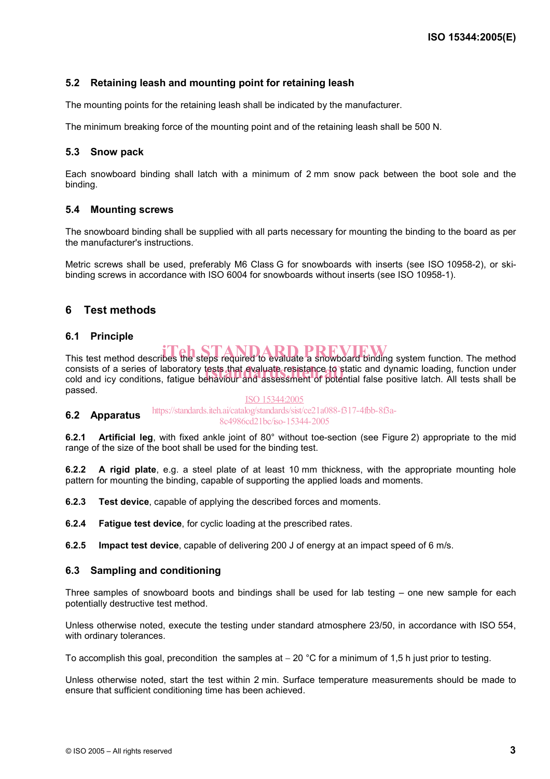#### **5.2 Retaining leash and mounting point for retaining leash**

The mounting points for the retaining leash shall be indicated by the manufacturer.

The minimum breaking force of the mounting point and of the retaining leash shall be 500 N.

#### **5.3 Snow pack**

Each snowboard binding shall latch with a minimum of 2 mm snow pack between the boot sole and the binding.

#### **5.4 Mounting screws**

The snowboard binding shall be supplied with all parts necessary for mounting the binding to the board as per the manufacturer's instructions.

Metric screws shall be used, preferably M6 Class G for snowboards with inserts (see ISO 10958-2), or skibinding screws in accordance with ISO 6004 for snowboards without inserts (see ISO 10958-1).

### **6 Test methods**

#### **6.1 Principle**

This test method describes the steps required to evaluate a snowboard binding system function. The method consists of a series of laboratory tests that evaluate resistance to static and dynamic loading, function under<br>cold and icy conditions, fatigue behaviour and assessment of potential false positive latch. All tests shall b cold and icy conditions, fatigue behaviour and assessment of potential false positive latch. All tests shall be passed.

#### ISO 15344:2005 https://standards.iteh.ai/catalog/standards/sist/ce21a088-f317-4fbb-8f3a-

#### **6.2 Apparatus**

**6.2.1 Artificial leg**, with fixed ankle joint of 80° without toe-section (see Figure 2) appropriate to the mid range of the size of the boot shall be used for the binding test. 8c4986cd21bc/iso-15344-2005

**6.2.2 A rigid plate**, e.g. a steel plate of at least 10 mm thickness, with the appropriate mounting hole pattern for mounting the binding, capable of supporting the applied loads and moments.

**6.2.3 Test device**, capable of applying the described forces and moments.

**6.2.4 Fatigue test device**, for cyclic loading at the prescribed rates.

**6.2.5 Impact test device**, capable of delivering 200 J of energy at an impact speed of 6 m/s.

#### **6.3 Sampling and conditioning**

Three samples of snowboard boots and bindings shall be used for lab testing – one new sample for each potentially destructive test method.

Unless otherwise noted, execute the testing under standard atmosphere 23/50, in accordance with ISO 554, with ordinary tolerances.

To accomplish this goal, precondition the samples at  $-$  20 °C for a minimum of 1,5 h just prior to testing.

Unless otherwise noted, start the test within 2 min. Surface temperature measurements should be made to ensure that sufficient conditioning time has been achieved.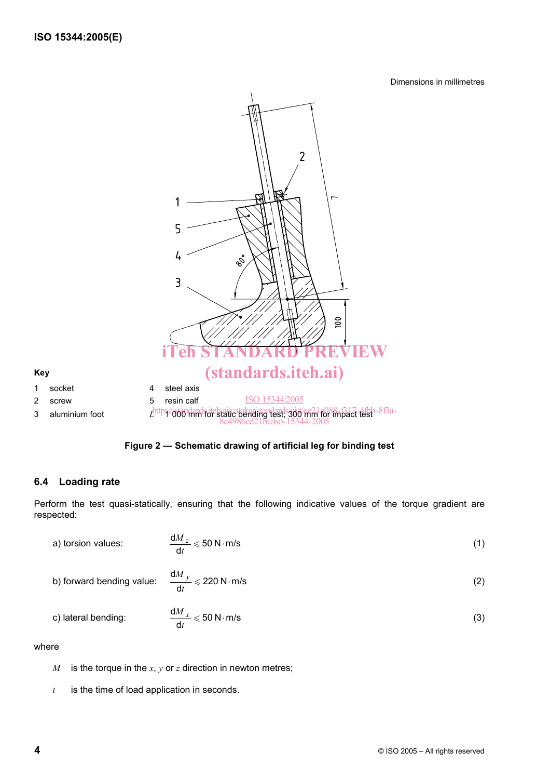Dimensions in millimetres



**Figure 2 — Schematic drawing of artificial leg for binding test** 

#### **6.4 Loading rate**

Perform the test quasi-statically, ensuring that the following indicative values of the torque gradient are respected:

| a) torsion values: | $\frac{dM_z}{dt} \leqslant 50 \text{ N} \cdot \text{m/s}$ |  |
|--------------------|-----------------------------------------------------------|--|
|--------------------|-----------------------------------------------------------|--|

b) forward bending value: 
$$
\frac{dM_y}{dt} \leq 220 \text{ N} \cdot \text{m/s}
$$
 (2)

c) lateral bending: 
$$
\frac{dM_x}{dt} \le 50 \text{ N} \cdot \text{m/s}
$$
 (3)

#### where

- *M* is the torque in the *x*, *y* or *z* direction in newton metres;
- *t* is the time of load application in seconds.